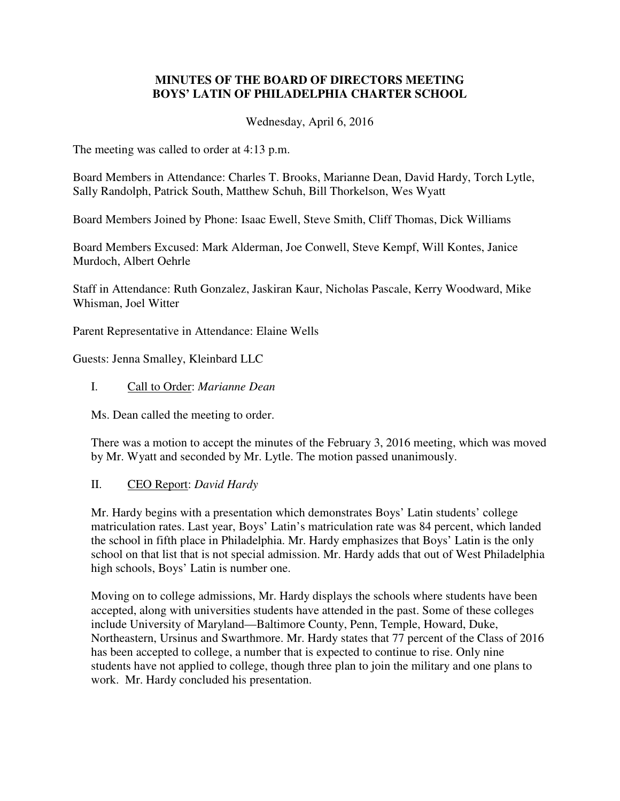## **MINUTES OF THE BOARD OF DIRECTORS MEETING BOYS' LATIN OF PHILADELPHIA CHARTER SCHOOL**

Wednesday, April 6, 2016

The meeting was called to order at 4:13 p.m.

Board Members in Attendance: Charles T. Brooks, Marianne Dean, David Hardy, Torch Lytle, Sally Randolph, Patrick South, Matthew Schuh, Bill Thorkelson, Wes Wyatt

Board Members Joined by Phone: Isaac Ewell, Steve Smith, Cliff Thomas, Dick Williams

Board Members Excused: Mark Alderman, Joe Conwell, Steve Kempf, Will Kontes, Janice Murdoch, Albert Oehrle

Staff in Attendance: Ruth Gonzalez, Jaskiran Kaur, Nicholas Pascale, Kerry Woodward, Mike Whisman, Joel Witter

Parent Representative in Attendance: Elaine Wells

Guests: Jenna Smalley, Kleinbard LLC

I. Call to Order: *Marianne Dean*

Ms. Dean called the meeting to order.

There was a motion to accept the minutes of the February 3, 2016 meeting, which was moved by Mr. Wyatt and seconded by Mr. Lytle. The motion passed unanimously.

# II. CEO Report: *David Hardy*

Mr. Hardy begins with a presentation which demonstrates Boys' Latin students' college matriculation rates. Last year, Boys' Latin's matriculation rate was 84 percent, which landed the school in fifth place in Philadelphia. Mr. Hardy emphasizes that Boys' Latin is the only school on that list that is not special admission. Mr. Hardy adds that out of West Philadelphia high schools, Boys' Latin is number one.

Moving on to college admissions, Mr. Hardy displays the schools where students have been accepted, along with universities students have attended in the past. Some of these colleges include University of Maryland—Baltimore County, Penn, Temple, Howard, Duke, Northeastern, Ursinus and Swarthmore. Mr. Hardy states that 77 percent of the Class of 2016 has been accepted to college, a number that is expected to continue to rise. Only nine students have not applied to college, though three plan to join the military and one plans to work. Mr. Hardy concluded his presentation.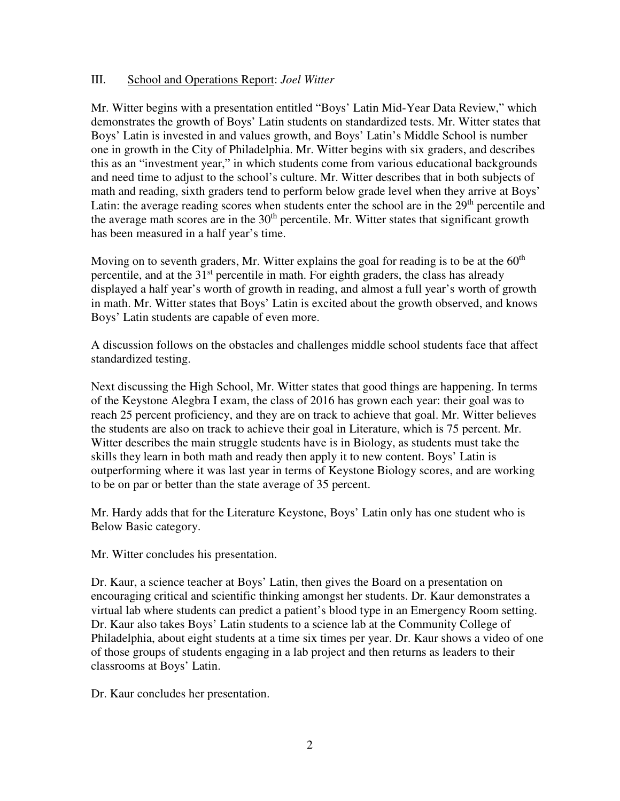### III. School and Operations Report: *Joel Witter*

Mr. Witter begins with a presentation entitled "Boys' Latin Mid-Year Data Review," which demonstrates the growth of Boys' Latin students on standardized tests. Mr. Witter states that Boys' Latin is invested in and values growth, and Boys' Latin's Middle School is number one in growth in the City of Philadelphia. Mr. Witter begins with six graders, and describes this as an "investment year," in which students come from various educational backgrounds and need time to adjust to the school's culture. Mr. Witter describes that in both subjects of math and reading, sixth graders tend to perform below grade level when they arrive at Boys' Latin: the average reading scores when students enter the school are in the  $29<sup>th</sup>$  percentile and the average math scores are in the  $30<sup>th</sup>$  percentile. Mr. Witter states that significant growth has been measured in a half year's time.

Moving on to seventh graders, Mr. Witter explains the goal for reading is to be at the  $60<sup>th</sup>$ percentile, and at the  $31<sup>st</sup>$  percentile in math. For eighth graders, the class has already displayed a half year's worth of growth in reading, and almost a full year's worth of growth in math. Mr. Witter states that Boys' Latin is excited about the growth observed, and knows Boys' Latin students are capable of even more.

A discussion follows on the obstacles and challenges middle school students face that affect standardized testing.

Next discussing the High School, Mr. Witter states that good things are happening. In terms of the Keystone Alegbra I exam, the class of 2016 has grown each year: their goal was to reach 25 percent proficiency, and they are on track to achieve that goal. Mr. Witter believes the students are also on track to achieve their goal in Literature, which is 75 percent. Mr. Witter describes the main struggle students have is in Biology, as students must take the skills they learn in both math and ready then apply it to new content. Boys' Latin is outperforming where it was last year in terms of Keystone Biology scores, and are working to be on par or better than the state average of 35 percent.

Mr. Hardy adds that for the Literature Keystone, Boys' Latin only has one student who is Below Basic category.

Mr. Witter concludes his presentation.

Dr. Kaur, a science teacher at Boys' Latin, then gives the Board on a presentation on encouraging critical and scientific thinking amongst her students. Dr. Kaur demonstrates a virtual lab where students can predict a patient's blood type in an Emergency Room setting. Dr. Kaur also takes Boys' Latin students to a science lab at the Community College of Philadelphia, about eight students at a time six times per year. Dr. Kaur shows a video of one of those groups of students engaging in a lab project and then returns as leaders to their classrooms at Boys' Latin.

Dr. Kaur concludes her presentation.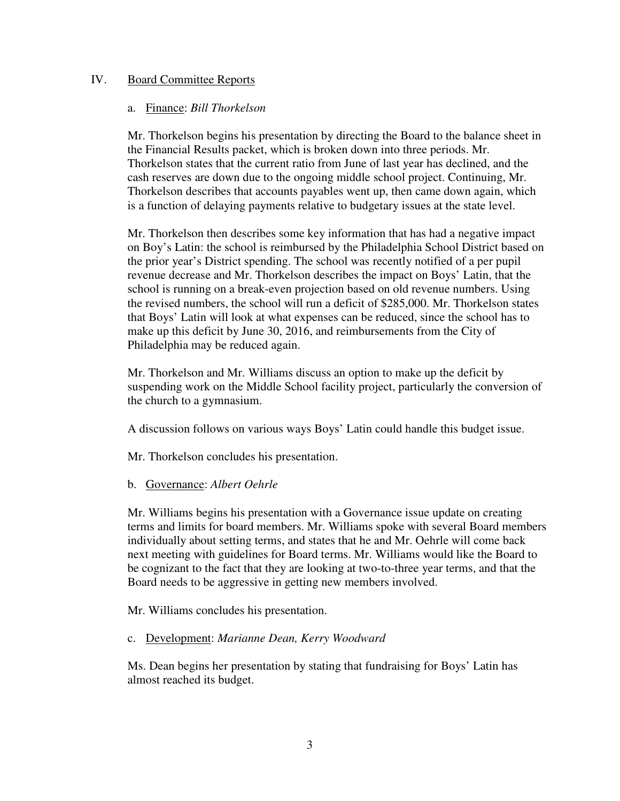### IV. Board Committee Reports

#### a. Finance: *Bill Thorkelson*

Mr. Thorkelson begins his presentation by directing the Board to the balance sheet in the Financial Results packet, which is broken down into three periods. Mr. Thorkelson states that the current ratio from June of last year has declined, and the cash reserves are down due to the ongoing middle school project. Continuing, Mr. Thorkelson describes that accounts payables went up, then came down again, which is a function of delaying payments relative to budgetary issues at the state level.

Mr. Thorkelson then describes some key information that has had a negative impact on Boy's Latin: the school is reimbursed by the Philadelphia School District based on the prior year's District spending. The school was recently notified of a per pupil revenue decrease and Mr. Thorkelson describes the impact on Boys' Latin, that the school is running on a break-even projection based on old revenue numbers. Using the revised numbers, the school will run a deficit of \$285,000. Mr. Thorkelson states that Boys' Latin will look at what expenses can be reduced, since the school has to make up this deficit by June 30, 2016, and reimbursements from the City of Philadelphia may be reduced again.

Mr. Thorkelson and Mr. Williams discuss an option to make up the deficit by suspending work on the Middle School facility project, particularly the conversion of the church to a gymnasium.

A discussion follows on various ways Boys' Latin could handle this budget issue.

Mr. Thorkelson concludes his presentation.

### b. Governance: *Albert Oehrle*

Mr. Williams begins his presentation with a Governance issue update on creating terms and limits for board members. Mr. Williams spoke with several Board members individually about setting terms, and states that he and Mr. Oehrle will come back next meeting with guidelines for Board terms. Mr. Williams would like the Board to be cognizant to the fact that they are looking at two-to-three year terms, and that the Board needs to be aggressive in getting new members involved.

Mr. Williams concludes his presentation.

### c. Development: *Marianne Dean, Kerry Woodward*

Ms. Dean begins her presentation by stating that fundraising for Boys' Latin has almost reached its budget.